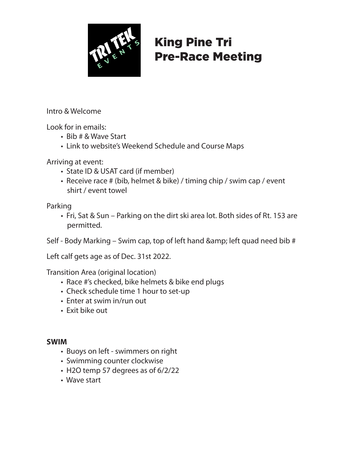

# King Pine Tri Pre-Race Meeting

Intro & Welcome

Look for in emails:

- Bib # & Wave Start
- Link to website's Weekend Schedule and Course Maps

Arriving at event:

- State ID & USAT card (if member)
- Receive race # (bib, helmet & bike) / timing chip / swim cap / event shirt / event towel

Parking

 • Fri, Sat & Sun – Parking on the dirt ski area lot. Both sides of Rt. 153 are permitted.

Self - Body Marking – Swim cap, top of left hand  $\&$ amp; left quad need bib #

Left calf gets age as of Dec. 31st 2022.

Transition Area (original location)

- Race #'s checked, bike helmets & bike end plugs
- Check schedule time 1 hour to set-up
- Enter at swim in/run out
- Exit bike out

## **SWIM**

- Buoys on left swimmers on right
- Swimming counter clockwise
- H2O temp 57 degrees as of 6/2/22
- Wave start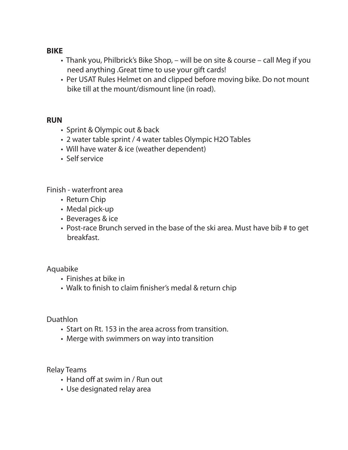### **BIKE**

- Thank you, Philbrick's Bike Shop, will be on site & course call Meg if you need anything .Great time to use your gift cards!
- Per USAT Rules Helmet on and clipped before moving bike. Do not mount bike till at the mount/dismount line (in road).

#### **RUN**

- Sprint & Olympic out & back
- 2 water table sprint / 4 water tables Olympic H2O Tables
- Will have water & ice (weather dependent)
- Self service

Finish - waterfront area

- Return Chip
- Medal pick-up
- Beverages & ice
- Post-race Brunch served in the base of the ski area. Must have bib # to get breakfast.

## Aquabike

- Finishes at bike in
- Walk to finish to claim finisher's medal & return chip

Duathlon

- Start on Rt. 153 in the area across from transition.
- Merge with swimmers on way into transition

Relay Teams

- Hand off at swim in / Run out
- Use designated relay area